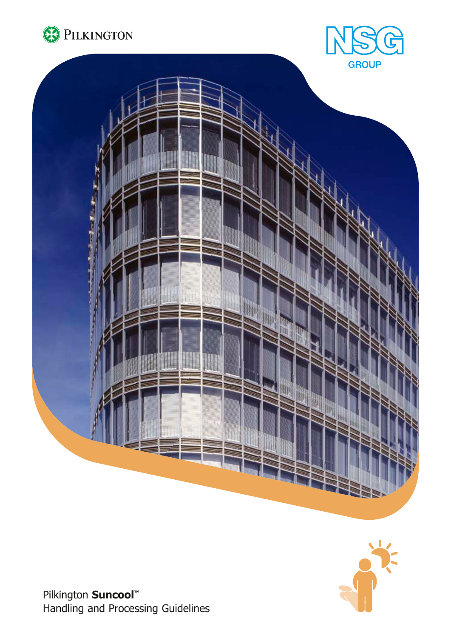





Pilkington **Suncool™** Handling and Processing Guidelines

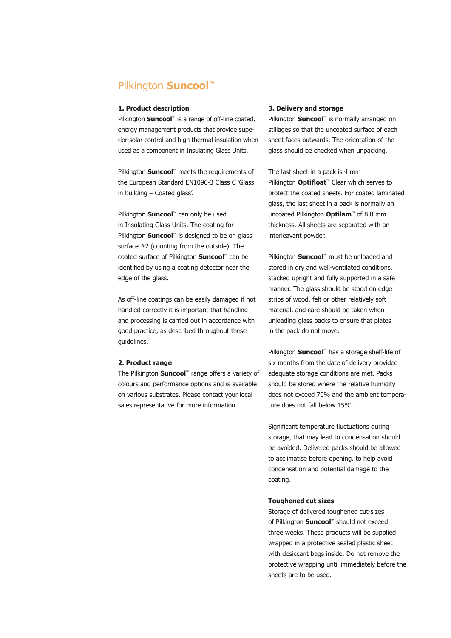## Pilkington **Suncool™**

#### **1. Product description**

Pilkington **Suncool™** is a range of off-line coated, energy management products that provide superior solar control and high thermal insulation when used as a component in Insulating Glass Units.

Pilkington **Suncool™** meets the requirements of the European Standard EN1096-3 Class C 'Glass in building – Coated glass'.

Pilkington **Suncool™** can only be used in Insulating Glass Units. The coating for Pilkington **Suncool™** is designed to be on glass surface #2 (counting from the outside). The coated surface of Pilkington **Suncool™** can be identified by using a coating detector near the edge of the glass.

As off-line coatings can be easily damaged if not handled correctly it is important that handling and processing is carried out in accordance with good practice, as described throughout these guidelines.

### **2. Product range**

The Pilkington **Suncool™** range offers a variety of colours and performance options and is available on various substrates. Please contact your local sales representative for more information.

#### **3. Delivery and storage**

Pilkington **Suncool™** is normally arranged on stillages so that the uncoated surface of each sheet faces outwards. The orientation of the glass should be checked when unpacking.

The last sheet in a pack is 4 mm Pilkington **Optifloat™** Clear which serves to protect the coated sheets. For coated laminated glass, the last sheet in a pack is normally an uncoated Pilkington **Optilam™** of 8.8 mm thickness. All sheets are separated with an interleavant powder.

Pilkington **Suncool™** must be unloaded and stored in dry and well-ventilated conditions, stacked upright and fully supported in a safe manner. The glass should be stood on edge strips of wood, felt or other relatively soft material, and care should be taken when unloading glass packs to ensure that plates in the pack do not move.

Pilkington **Suncool™** has a storage shelf-life of six months from the date of delivery provided adequate storage conditions are met. Packs should be stored where the relative humidity does not exceed 70% and the ambient temperature does not fall below 15°C.

Significant temperature fluctuations during storage, that may lead to condensation should be avoided. Delivered packs should be allowed to acclimatise before opening, to help avoid condensation and potential damage to the coating.

### **Toughened cut sizes**

Storage of delivered toughened cut-sizes of Pilkington **Suncool™** should not exceed three weeks. These products will be supplied wrapped in a protective sealed plastic sheet with desiccant bags inside. Do not remove the protective wrapping until immediately before the sheets are to be used.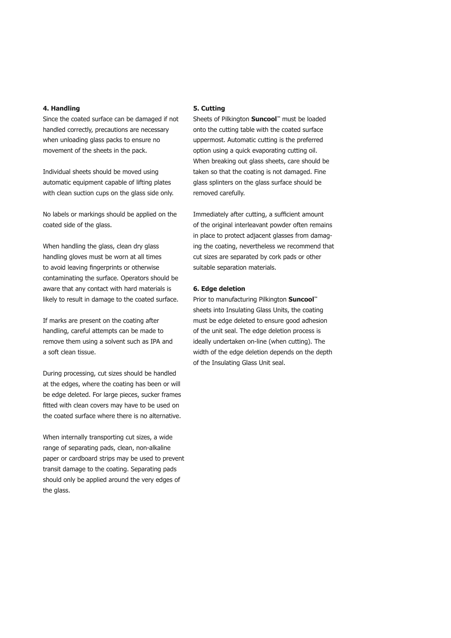### **4. Handling**

Since the coated surface can be damaged if not handled correctly, precautions are necessary when unloading glass packs to ensure no movement of the sheets in the pack.

Individual sheets should be moved using automatic equipment capable of lifting plates with clean suction cups on the glass side only.

No labels or markings should be applied on the coated side of the glass.

When handling the glass, clean dry glass handling gloves must be worn at all times to avoid leaving fingerprints or otherwise contaminating the surface. Operators should be aware that any contact with hard materials is likely to result in damage to the coated surface.

If marks are present on the coating after handling, careful attempts can be made to remove them using a solvent such as IPA and a soft clean tissue.

During processing, cut sizes should be handled at the edges, where the coating has been or will be edge deleted. For large pieces, sucker frames fitted with clean covers may have to be used on the coated surface where there is no alternative.

When internally transporting cut sizes, a wide range of separating pads, clean, non-alkaline paper or cardboard strips may be used to prevent transit damage to the coating. Separating pads should only be applied around the very edges of the glass.

#### **5. Cutting**

Sheets of Pilkington **Suncool™** must be loaded onto the cutting table with the coated surface uppermost. Automatic cutting is the preferred option using a quick evaporating cutting oil. When breaking out glass sheets, care should be taken so that the coating is not damaged. Fine glass splinters on the glass surface should be removed carefully.

Immediately after cutting, a sufficient amount of the original interleavant powder often remains in place to protect adjacent glasses from damaging the coating, nevertheless we recommend that cut sizes are separated by cork pads or other suitable separation materials.

#### **6. Edge deletion**

Prior to manufacturing Pilkington **Suncool™** sheets into Insulating Glass Units, the coating must be edge deleted to ensure good adhesion of the unit seal. The edge deletion process is ideally undertaken on-line (when cutting). The width of the edge deletion depends on the depth of the Insulating Glass Unit seal.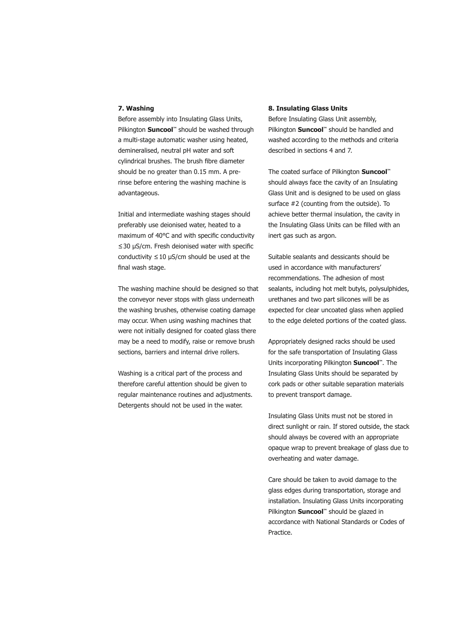#### **7. Washing**

Before assembly into Insulating Glass Units, Pilkington **Suncool™** should be washed through a multi-stage automatic washer using heated, demineralised, neutral pH water and soft cylindrical brushes. The brush fibre diameter should be no greater than 0.15 mm. A prerinse before entering the washing machine is advantageous.

Initial and intermediate washing stages should preferably use deionised water, heated to a maximum of 40°C and with specific conductivity ≤ 30 μS/cm. Fresh deionised water with specific conductivity  $\leq 10$  µS/cm should be used at the final wash stage.

The washing machine should be designed so that the conveyor never stops with glass underneath the washing brushes, otherwise coating damage may occur. When using washing machines that were not initially designed for coated glass there may be a need to modify, raise or remove brush sections, barriers and internal drive rollers.

Washing is a critical part of the process and therefore careful attention should be given to regular maintenance routines and adjustments. Detergents should not be used in the water.

#### **8. Insulating Glass Units**

Before Insulating Glass Unit assembly, Pilkington **Suncool™** should be handled and washed according to the methods and criteria described in sections 4 and 7.

The coated surface of Pilkington **Suncool™** should always face the cavity of an Insulating Glass Unit and is designed to be used on glass surface #2 (counting from the outside). To achieve better thermal insulation, the cavity in the Insulating Glass Units can be filled with an inert gas such as argon.

Suitable sealants and dessicants should be used in accordance with manufacturers' recommendations. The adhesion of most sealants, including hot melt butyls, polysulphides, urethanes and two part silicones will be as expected for clear uncoated glass when applied to the edge deleted portions of the coated glass.

Appropriately designed racks should be used for the safe transportation of Insulating Glass Units incorporating Pilkington **Suncool™**. The Insulating Glass Units should be separated by cork pads or other suitable separation materials to prevent transport damage.

Insulating Glass Units must not be stored in direct sunlight or rain. If stored outside, the stack should always be covered with an appropriate opaque wrap to prevent breakage of glass due to overheating and water damage.

Care should be taken to avoid damage to the glass edges during transportation, storage and installation. Insulating Glass Units incorporating Pilkington **Suncool™** should be glazed in accordance with National Standards or Codes of Practice.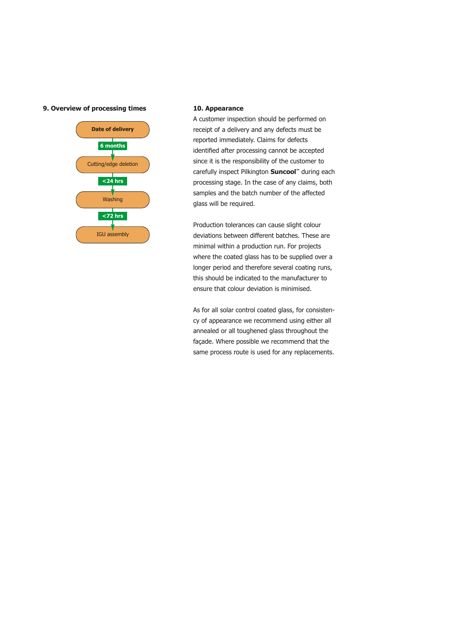#### **9. Overview of processing times 10. Appearance**



A customer inspection should be performed on receipt of a delivery and any defects must be reported immediately. Claims for defects identified after processing cannot be accepted since it is the responsibility of the customer to carefully inspect Pilkington **Suncool™** during each processing stage. In the case of any claims, both samples and the batch number of the affected glass will be required.

Production tolerances can cause slight colour deviations between different batches. These are minimal within a production run. For projects where the coated glass has to be supplied over a longer period and therefore several coating runs, this should be indicated to the manufacturer to ensure that colour deviation is minimised.

As for all solar control coated glass, for consistency of appearance we recommend using either all annealed or all toughened glass throughout the façade. Where possible we recommend that the same process route is used for any replacements.